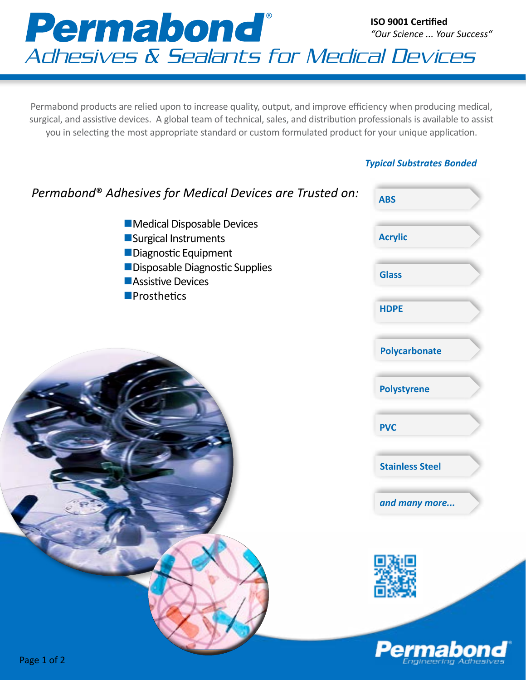

Permabond products are relied upon to increase quality, output, and improve efficiency when producing medical, surgical, and assistive devices. A global team of technical, sales, and distribution professionals is available to assist you in selecting the most appropriate standard or custom formulated product for your unique application.

## *Typical Substrates Bonded*

| Permabond® Adhesives for Medical Devices are Trusted on:                   | <b>ABS</b>             |
|----------------------------------------------------------------------------|------------------------|
| Medical Disposable Devices<br>Surgical Instruments<br>Diagnostic Equipment | <b>Acrylic</b>         |
| Disposable Diagnostic Supplies<br>Assistive Devices                        | <b>Glass</b>           |
| <b>Prosthetics</b>                                                         | <b>HDPE</b>            |
|                                                                            | <b>Polycarbonate</b>   |
|                                                                            | <b>Polystyrene</b>     |
|                                                                            | <b>PVC</b>             |
|                                                                            | <b>Stainless Steel</b> |
|                                                                            | and many more          |
|                                                                            |                        |
|                                                                            |                        |
| Page 1 of 2                                                                | <b>Permabono</b>       |